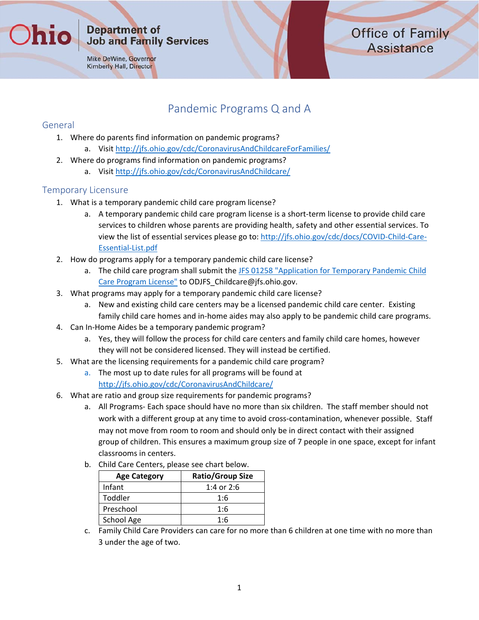#### **Department of Job and Family Services**

Mike DeWine, Governor **Kimberly Hall, Director** 

## Pandemic Programs Q and A

### General

hin

- 1. Where do parents find information on pandemic programs?
	- a. Visit http://jfs.ohio.gov/cdc/CoronavirusAndChildcareForFamilies/
- 2. Where do programs find information on pandemic programs?
	- a. Visit http://jfs.ohio.gov/cdc/CoronavirusAndChildcare/

## Temporary Licensure

- 1. What is a temporary pandemic child care program license?
	- a. A temporary pandemic child care program license is a short-term license to provide child care services to children whose parents are providing health, safety and other essential services. To view the list of essential services please go to: http://jfs.ohio.gov/cdc/docs/COVID‐Child‐Care‐ Essential‐List.pdf
- 2. How do programs apply for a temporary pandemic child care license?
	- a. The child care program shall submit the JFS 01258 "Application for Temporary Pandemic Child Care Program License" to ODJFS\_Childcare@jfs.ohio.gov.
- 3. What programs may apply for a temporary pandemic child care license?
	- a. New and existing child care centers may be a licensed pandemic child care center. Existing family child care homes and in‐home aides may also apply to be pandemic child care programs.
- 4. Can In‐Home Aides be a temporary pandemic program?
	- a. Yes, they will follow the process for child care centers and family child care homes, however they will not be considered licensed. They will instead be certified.
- 5. What are the licensing requirements for a pandemic child care program?
	- a. The most up to date rules for all programs will be found at http://jfs.ohio.gov/cdc/CoronavirusAndChildcare/
- 6. What are ratio and group size requirements for pandemic programs?
	- a. All Programs‐ Each space should have no more than six children. The staff member should not work with a different group at any time to avoid cross‐contamination, whenever possible. Staff may not move from room to room and should only be in direct contact with their assigned group of children. This ensures a maximum group size of 7 people in one space, except for infant classrooms in centers.
	- b. Child Care Centers, please see chart below.

| <b>Age Category</b> | <b>Ratio/Group Size</b> |  |  |
|---------------------|-------------------------|--|--|
| Infant              | 1:4 or $2:6$            |  |  |
| Toddler             | 1:6                     |  |  |
| Preschool           | 1:6                     |  |  |
| School Age          | 1:6                     |  |  |

c. Family Child Care Providers can care for no more than 6 children at one time with no more than 3 under the age of two.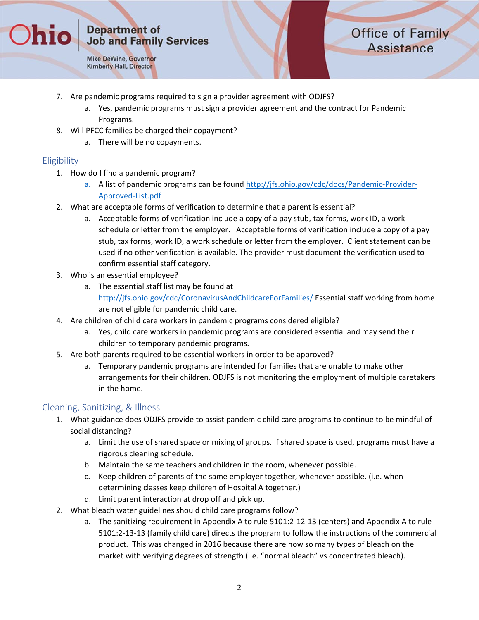Mike DeWine, Governor Kimberly Hall, Director

# **Office of Family Assistance**

- 7. Are pandemic programs required to sign a provider agreement with ODJFS?
	- a. Yes, pandemic programs must sign a provider agreement and the contract for Pandemic Programs.
- 8. Will PFCC families be charged their copayment?
	- a. There will be no copayments.

### Eligibility

hio

- 1. How do I find a pandemic program?
	- a. A list of pandemic programs can be found http://jfs.ohio.gov/cdc/docs/Pandemic-Provider-Approved‐List.pdf
- 2. What are acceptable forms of verification to determine that a parent is essential?
	- a. Acceptable forms of verification include a copy of a pay stub, tax forms, work ID, a work schedule or letter from the employer. Acceptable forms of verification include a copy of a pay stub, tax forms, work ID, a work schedule or letter from the employer. Client statement can be used if no other verification is available. The provider must document the verification used to confirm essential staff category.
- 3. Who is an essential employee?
	- a. The essential staff list may be found at http://jfs.ohio.gov/cdc/CoronavirusAndChildcareForFamilies/ Essential staff working from home are not eligible for pandemic child care.
- 4. Are children of child care workers in pandemic programs considered eligible?
	- a. Yes, child care workers in pandemic programs are considered essential and may send their children to temporary pandemic programs.
- 5. Are both parents required to be essential workers in order to be approved?
	- a. Temporary pandemic programs are intended for families that are unable to make other arrangements for their children. ODJFS is not monitoring the employment of multiple caretakers in the home.

#### Cleaning, Sanitizing, & Illness

- 1. What guidance does ODJFS provide to assist pandemic child care programs to continue to be mindful of social distancing?
	- a. Limit the use of shared space or mixing of groups. If shared space is used, programs must have a rigorous cleaning schedule.
	- b. Maintain the same teachers and children in the room, whenever possible.
	- c. Keep children of parents of the same employer together, whenever possible. (i.e. when determining classes keep children of Hospital A together.)
	- d. Limit parent interaction at drop off and pick up.
- 2. What bleach water guidelines should child care programs follow?
	- a. The sanitizing requirement in Appendix A to rule 5101:2‐12‐13 (centers) and Appendix A to rule 5101:2‐13‐13 (family child care) directs the program to follow the instructions of the commercial product. This was changed in 2016 because there are now so many types of bleach on the market with verifying degrees of strength (i.e. "normal bleach" vs concentrated bleach).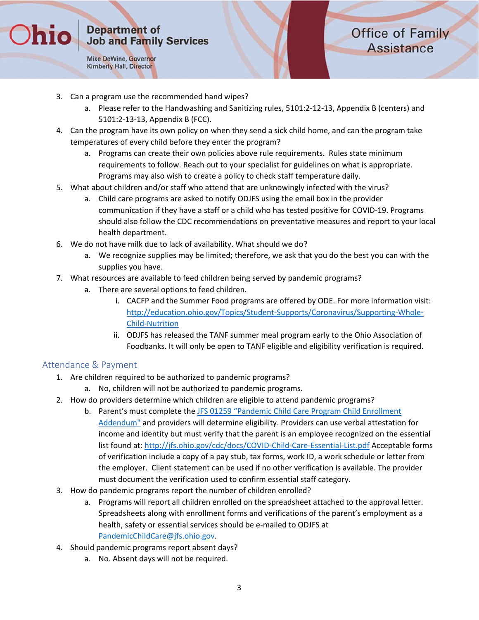Mike DeWine, Governor **Kimberly Hall, Director** 

**Thio** 

# **Office of Family Assistance**

- 3. Can a program use the recommended hand wipes?
	- a. Please refer to the Handwashing and Sanitizing rules, 5101:2‐12‐13, Appendix B (centers) and 5101:2‐13‐13, Appendix B (FCC).
- 4. Can the program have its own policy on when they send a sick child home, and can the program take temperatures of every child before they enter the program?
	- a. Programs can create their own policies above rule requirements. Rules state minimum requirements to follow. Reach out to your specialist for guidelines on what is appropriate. Programs may also wish to create a policy to check staff temperature daily.
- 5. What about children and/or staff who attend that are unknowingly infected with the virus?
	- a. Child care programs are asked to notify ODJFS using the email box in the provider communication if they have a staff or a child who has tested positive for COVID‐19. Programs should also follow the CDC recommendations on preventative measures and report to your local health department.
- 6. We do not have milk due to lack of availability. What should we do?
	- a. We recognize supplies may be limited; therefore, we ask that you do the best you can with the supplies you have.
- 7. What resources are available to feed children being served by pandemic programs?
	- a. There are several options to feed children.
		- i. CACFP and the Summer Food programs are offered by ODE. For more information visit: http://education.ohio.gov/Topics/Student‐Supports/Coronavirus/Supporting‐Whole‐ Child‐Nutrition
		- ii. ODJFS has released the TANF summer meal program early to the Ohio Association of Foodbanks. It will only be open to TANF eligible and eligibility verification is required.

#### Attendance & Payment

- 1. Are children required to be authorized to pandemic programs?
	- a. No, children will not be authorized to pandemic programs.
- 2. How do providers determine which children are eligible to attend pandemic programs?
	- b. Parent's must complete the JFS 01259 "Pandemic Child Care Program Child Enrollment Addendum" and providers will determine eligibility. Providers can use verbal attestation for income and identity but must verify that the parent is an employee recognized on the essential list found at: http://jfs.ohio.gov/cdc/docs/COVID‐Child‐Care‐Essential‐List.pdf Acceptable forms of verification include a copy of a pay stub, tax forms, work ID, a work schedule or letter from the employer. Client statement can be used if no other verification is available. The provider must document the verification used to confirm essential staff category.
- 3. How do pandemic programs report the number of children enrolled?
	- a. Programs will report all children enrolled on the spreadsheet attached to the approval letter. Spreadsheets along with enrollment forms and verifications of the parent's employment as a health, safety or essential services should be e‐mailed to ODJFS at PandemicChildCare@jfs.ohio.gov.
- 4. Should pandemic programs report absent days?
	- a. No. Absent days will not be required.